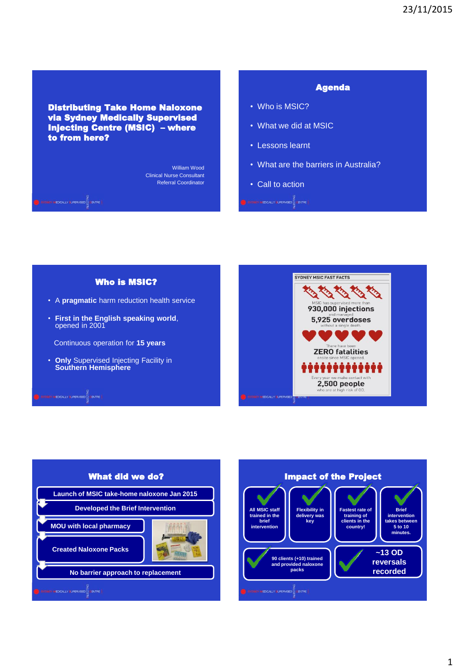Distributing Take Home Naloxone via Sydney Medically Supervised Injecting Centre (MSIC) – where to from here?

L

**SOURCE AFENCALLY & UPERVISED** 

William Wood Clinical Nurse Consultant Referral Coordinator Agenda

- Who is MSIC?
- What we did at MSIC
- Lessons learnt
- What are the barriers in Australia?
- Call to action  $\begin{picture}(180,10) \put(0,0){\line(1,0){10}} \put(10,0){\line(1,0){10}} \put(10,0){\line(1,0){10}} \put(10,0){\line(1,0){10}} \put(10,0){\line(1,0){10}} \put(10,0){\line(1,0){10}} \put(10,0){\line(1,0){10}} \put(10,0){\line(1,0){10}} \put(10,0){\line(1,0){10}} \put(10,0){\line(1,0){10}} \put(10,0){\line(1,0){10}} \put(10,0){\line($

SYDNEY MSIC FAST FACTS Who is MSIC? **King King King** • A **pragmatic** harm reduction health service 930.000 injections • **First in the English speaking world**, 5,925 overdoses opened in 2001 Continuous operation for **15 years ZERO fatalities** • **Only** Supervised Injecting Facility in **Southern Hemisphere** 2,500 people **SONN WEDCALLY LIFERVISED**